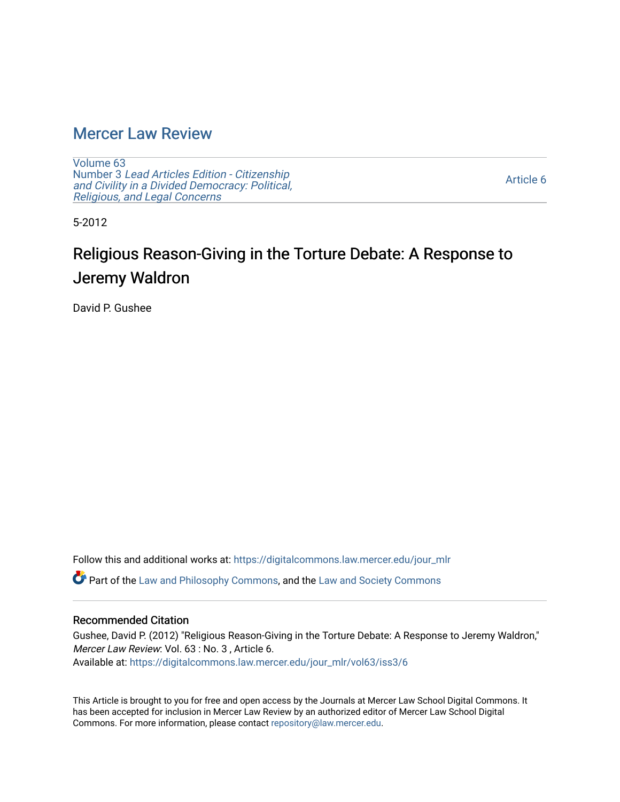# [Mercer Law Review](https://digitalcommons.law.mercer.edu/jour_mlr)

[Volume 63](https://digitalcommons.law.mercer.edu/jour_mlr/vol63) Number 3 [Lead Articles Edition - Citizenship](https://digitalcommons.law.mercer.edu/jour_mlr/vol63/iss3)  [and Civility in a Divided Democracy: Political,](https://digitalcommons.law.mercer.edu/jour_mlr/vol63/iss3)  [Religious, and Legal Concerns](https://digitalcommons.law.mercer.edu/jour_mlr/vol63/iss3)

[Article 6](https://digitalcommons.law.mercer.edu/jour_mlr/vol63/iss3/6) 

5-2012

# Religious Reason-Giving in the Torture Debate: A Response to Jeremy Waldron

David P. Gushee

Follow this and additional works at: [https://digitalcommons.law.mercer.edu/jour\\_mlr](https://digitalcommons.law.mercer.edu/jour_mlr?utm_source=digitalcommons.law.mercer.edu%2Fjour_mlr%2Fvol63%2Fiss3%2F6&utm_medium=PDF&utm_campaign=PDFCoverPages)

Part of the [Law and Philosophy Commons,](http://network.bepress.com/hgg/discipline/1299?utm_source=digitalcommons.law.mercer.edu%2Fjour_mlr%2Fvol63%2Fiss3%2F6&utm_medium=PDF&utm_campaign=PDFCoverPages) and the [Law and Society Commons](http://network.bepress.com/hgg/discipline/853?utm_source=digitalcommons.law.mercer.edu%2Fjour_mlr%2Fvol63%2Fiss3%2F6&utm_medium=PDF&utm_campaign=PDFCoverPages) 

## Recommended Citation

Gushee, David P. (2012) "Religious Reason-Giving in the Torture Debate: A Response to Jeremy Waldron," Mercer Law Review: Vol. 63 : No. 3 , Article 6. Available at: [https://digitalcommons.law.mercer.edu/jour\\_mlr/vol63/iss3/6](https://digitalcommons.law.mercer.edu/jour_mlr/vol63/iss3/6?utm_source=digitalcommons.law.mercer.edu%2Fjour_mlr%2Fvol63%2Fiss3%2F6&utm_medium=PDF&utm_campaign=PDFCoverPages)

This Article is brought to you for free and open access by the Journals at Mercer Law School Digital Commons. It has been accepted for inclusion in Mercer Law Review by an authorized editor of Mercer Law School Digital Commons. For more information, please contact [repository@law.mercer.edu.](mailto:repository@law.mercer.edu)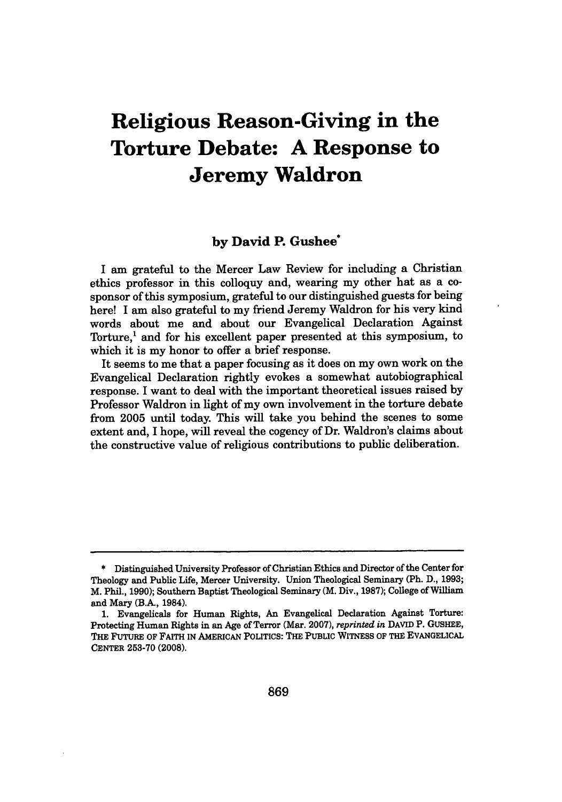# **Religious Reason-Giving in the Torture Debate: A Response to Jeremy Waldron**

### **by David P. Gushee**

I am grateful to the Mercer Law Review for including a Christian ethics professor in this colloquy and, wearing my other hat as a cosponsor of this symposium, grateful to our distinguished guests for being here! I am also grateful to my friend Jeremy Waldron for his very kind words about me and about our Evangelical Declaration Against Torture,' and for his excellent paper presented at this symposium, to which it is my honor to offer a brief response.

It seems to me that a paper focusing as it does on my own work on the Evangelical Declaration rightly evokes a somewhat autobiographical response. I want to deal with the important theoretical issues raised **by** Professor Waldron in light of my own involvement in the torture debate from **2005** until today. This will take you behind the scenes to some extent and, I hope, will reveal the cogency of Dr. Waldron's claims about the constructive value of religious contributions to public deliberation.

**<sup>\*</sup>** Distinguished University Professor of Christian Ethics and Director of the Center for Theology and Public Life, Mercer University. Union Theological Seminary (Ph. **D., 1993;** M. Phil., **1990);** Southern Baptist Theological Seminary (M. Div., **1987);** College of William and Mary (B.A., 1984).

**<sup>1.</sup>** Evangelicals for Human Rights, An Evangelical Declaration Against Torture: Protecting Human Rights in an Age of Terror (Mar. **2007),** *reprinted in* **DAVID** P. **GUSHEE,** THE FUTURE OF FAITH IN AMERICAN POLITICS: THE PUBLIc WITNESS OF THE EVANGELICAL **CENTER 253-70 (2008).**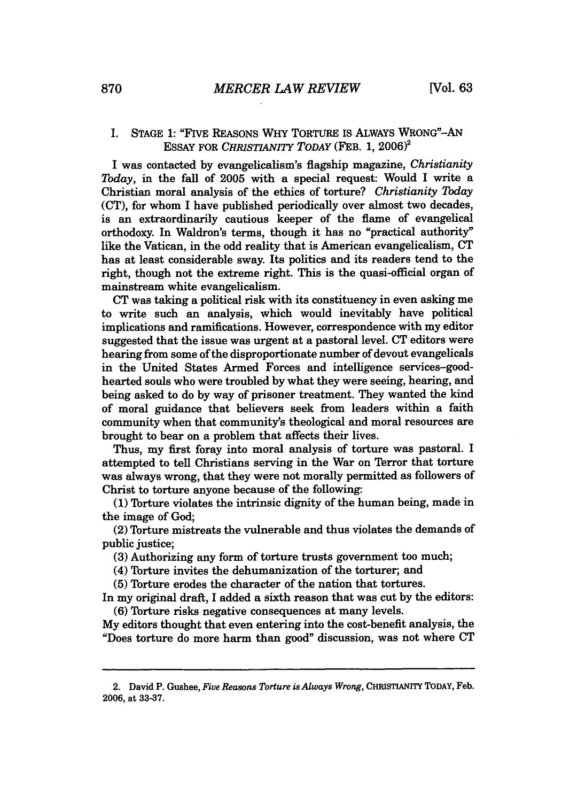#### I. **STAGE 1:** "FIVE REASONS WHY TORTURE IS ALWAYs **WRONG"-AN ESSAY** FOR *CHRISTIANITY TODAY* (FEB. **1, 2006)**

I was contacted **by** evangelicalism's flagship magazine, *Christianity Today,* in the fall of **2005** with a special request: Would **I** write a Christian moral analysis of the ethics of torture? *Christianity Tbday* **(CT),** for whom I have published periodically over almost two decades, is an extraordinarily cautious keeper of the flame of evangelical orthodoxy. In Waldron's terms, though it has no "practical authority" like the Vatican, in the odd reality that is American evangelicalism, **CT** has at least considerable sway. Its politics and its readers tend to the right, though not the extreme right. This is the quasi-official organ of mainstream white evangelicalism.

**CT** was taking a political risk with its constituency in even asking me to write such an analysis, which would inevitably have political implications and ramifications. However, correspondence with my editor suggested that the issue was urgent at a pastoral level. **CT** editors were hearing from some of the disproportionate number of devout evangelicals in the United States Armed Forces and intelligence services-goodhearted souls who were troubled **by** what they were seeing, hearing, and being asked to do **by** way of prisoner treatment. They wanted the kind of moral guidance that believers seek from leaders within a faith community when that community's theological and moral resources are brought to bear on a problem that affects their lives.

Thus, my first foray into moral analysis of torture was pastoral. I attempted to tell Christians serving in the War on Terror that torture was always wrong, that they were not morally permitted as followers of Christ to torture anyone because of the following:

**(1)** Torture violates the intrinsic dignity of the human being, made in the image of God;

(2) Torture mistreats the vulnerable and thus violates the demands of public justice;

**(3)** Authorizing any form of torture trusts government too much;

(4) Torture invites the dehumanization of the torturer; and

**(5)** Torture erodes the character of the nation that tortures.

In my original draft, **I** added a sixth reason that was cut **by** the editors: **(6)** Torture risks negative consequences at many levels.

**My** editors thought that even entering into the cost-benefit analysis, the "Does torture do more harm than good" discussion, was not where **CT**

<sup>2.</sup> David P. Gushee, *Five Reasons Torture is Always Wrong*, CHRISTIANITY TODAY, Feb. **2006,** *at* **33-37.**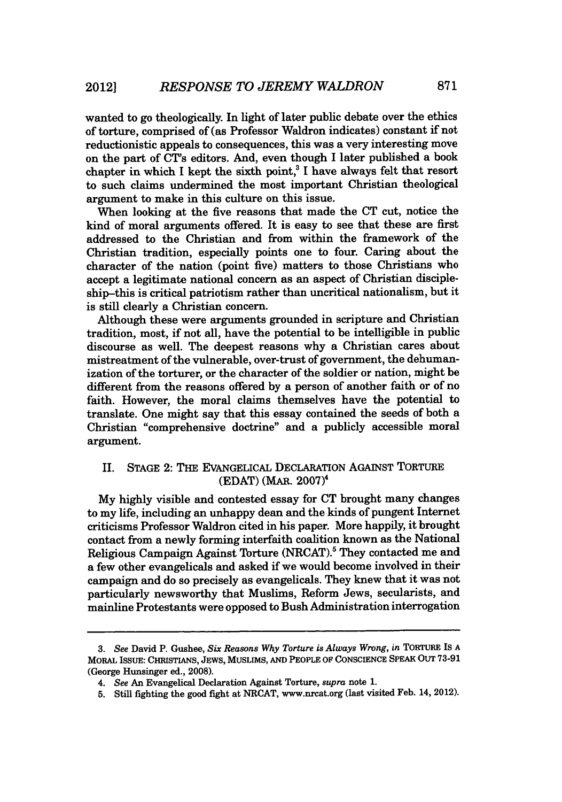wanted to go theologically. In light of later public debate over the ethics of torture, comprised of (as Professor Waldron indicates) constant if not reductionistic appeals to consequences, this was a very interesting move on the part of CT's editors. And, even though I later published a book chapter in which **I** kept the sixth point,' **I** have always felt that resort to such claims undermined the most important Christian theological argument to make in this culture on this issue.

When looking at the five reasons that made the **CT** cut, notice the kind of moral arguments offered. It is easy to see that these are first addressed to the Christian and from within the framework of the Christian tradition, especially points one to four. Caring about the character of the nation (point five) matters to those Christians who accept a legitimate national concern as an aspect of Christian discipleship-this is critical patriotism rather than uncritical nationalism, but it is still clearly a Christian concern.

Although these were arguments grounded in scripture and Christian tradition, most, if not all, have the potential to be intelligible in public discourse as well. The deepest reasons why a Christian cares about mistreatment of the vulnerable, over-trust of government, the dehumanization of the torturer, or the character of the soldier or nation, might be different from the reasons offered **by** a person of another faith or of no faith. However, the moral claims themselves have the potential to translate. One might say that this essay contained the seeds of both a Christian "comprehensive doctrine" and a publicly accessible moral argument.

### II. **STAGE** 2: THE EVANGELICAL DECLARATION **AGAINST** TORTURE **(EDAT)** (MAR. 2007)<sup>4</sup>

**My highly** visible and contested essay for **CT** brought many changes to my life, including an unhappy dean and the kinds of pungent Internet criticisms Professor Waldron cited in his paper. More happily, it brought contact from a newly forming interfaith coalition known as the National Religious Campaign Against Torture (NRCAT).' They contacted me and a few other evangelicals and asked if we would become involved in their campaign and do so precisely as evangelicals. They knew that it was not particularly newsworthy that Muslims, Reform Jews, secularists, and mainline Protestants were opposed to Bush Administration interrogation

*<sup>3.</sup> See* David P. Gushee, *Six Reasons Why Torture is Always Wrong, in* TORTURE **IS A** MORAL **ISSUE: CHRISTIANS, JEWS, MUSLIMS, AND** PEOPLE OF **CONSCIENCE SPEAK** OUT **73-91** (George Hunsinger ed., **2008).**

*<sup>4.</sup> See An* Evangelical Declaration Against Torture, *supra* note **1.**

**<sup>5.</sup>** Still fighting the good fight at NRCAT, www.nrcat.org (last visited Feb. 14, 2012).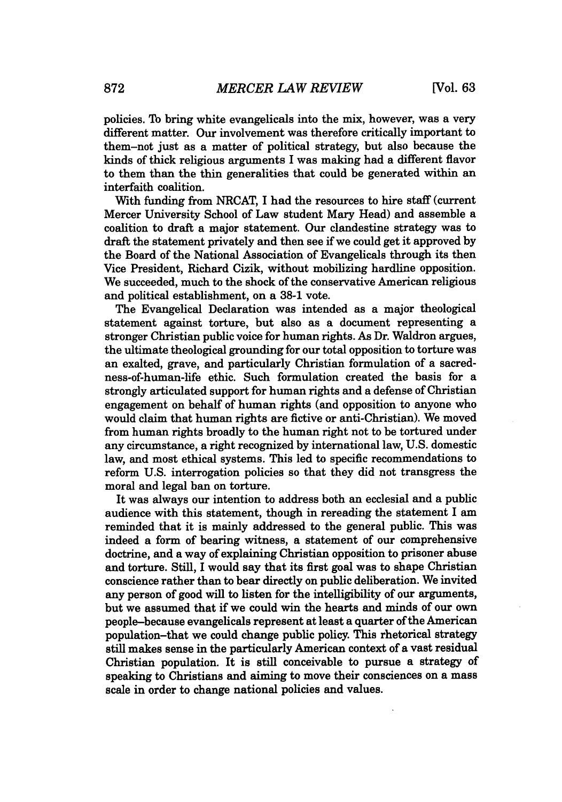policies. To bring white evangelicals into the mix, however, was a very different matter. Our involvement was therefore critically important to them-not just as a matter of political strategy, but also because the kinds of thick religious arguments I was making had a different flavor to them than the thin generalities that could be generated within an interfaith coalition.

With funding from NRCAT, I had the resources to hire staff (current Mercer University School of Law student Mary Head) and assemble a coalition to draft a major statement. Our clandestine strategy was to draft the statement privately and then see if we could get it approved **by** the Board of the National Association of Evangelicals through its then Vice President, Richard Cizik, without mobilizing hardline opposition. We succeeded, much to the shock of the conservative American religious and political establishment, on a **38-1** vote.

The Evangelical Declaration was intended as a major theological statement against torture, but also as a document representing a stronger Christian public voice for human rights. As Dr. Waldron argues, the ultimate theological grounding for our total opposition to torture was an exalted, grave, and particularly Christian formulation of a sacredness-of-human-life ethic. Such formulation created the basis for a strongly articulated support for human rights and a defense of Christian engagement on behalf of human rights (and opposition to anyone who would claim that human rights are fictive or anti-Christian). We moved from human rights broadly to the human right not to be tortured under any circumstance, a right recognized **by** international law, **U.S.** domestic law, and most ethical systems. This led to specific recommendations to reform **U.S.** interrogation policies so that they did not transgress the moral and legal ban on torture.

It was always our intention to address both an ecclesial and a public audience with this statement, though in rereading the statement I am reminded that it is mainly addressed to the general public. This was indeed a form of bearing witness, a statement of our comprehensive doctrine, and a way of explaining Christian opposition to prisoner abuse and torture. Still, **I** would say that its first goal was to shape Christian conscience rather than to bear directly on public deliberation. We invited any person of good will to listen for the intelligibility of our arguments, but we assumed that if we could win the hearts and minds of our own people-because evangelicals represent at least a quarter of the American population-that we could change public policy. This rhetorical strategy still makes sense in the particularly American context of a vast residual Christian population. It is still conceivable to pursue a strategy of speaking to Christians and aiming to move their consciences on a mass scale in order to change national policies and values.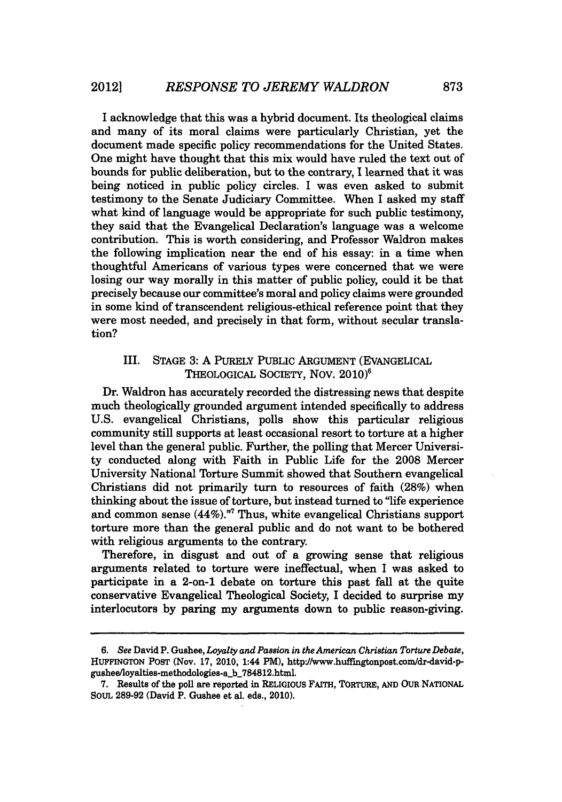I acknowledge that this was a hybrid document. Its theological claims and many of its moral claims were particularly Christian, yet the document made specific policy recommendations for the United States. One might have thought that this mix would have ruled the text out of bounds for public deliberation, but to the contrary, **I** learned that it was being noticed in public policy circles. I was even asked to submit testimony to the Senate Judiciary Committee. When **I** asked my staff what kind of language would be appropriate for such public testimony, they said that the Evangelical Declaration's language was a welcome contribution. This is worth considering, and Professor Waldron makes the following implication near the end of his essay: in a time when thoughtful Americans of various types were concerned that we were losing our way morally in this matter of public policy, could it be that precisely because our committee's moral and policy claims were grounded in some kind of transcendent religious-ethical reference point that they were most needed, and precisely in that form, without secular translation?

#### III. **STAGE 3: A** PURELY PUBLIC ARGUMENT (EVANGELICAL THEOLOGICAL SOCIETY, Nov. **2010)6**

Dr. Waldron has accurately recorded the distressing news that despite much theologically grounded argument intended specifically to address **U.S.** evangelical Christians, polls show this particular religious community still supports at least occasional resort to torture at a higher level than the general public. Further, the polling that Mercer University conducted along with Faith in Public Life for the **2008** Mercer University National Torture Summit showed that Southern evangelical Christians did not primarily turn to resources of faith **(28%)** when thinking about the issue of torture, but instead turned to "life experience and common sense (44%)."' Thus, white evangelical Christians support torture more than the general public and do not want to be bothered with religious arguments to the contrary.

Therefore, in disgust and out of a growing sense that religious arguments related to torture were ineffectual, when I was asked to participate in a 2-on-1 debate on torture this past fall at the quite conservative Evangelical Theological Society, I decided to surprise my interlocutors **by** paring my arguments down to public reason-giving.

*<sup>6.</sup> See* David P. Gushee, *Loyalty and Passion in the American Christian Torture Debate,* HUFFINGTON POST (Nov. 17, 2010, 1:44 PM), http://www.huffingtonpost.com/dr-david-pgushee/loyalties-methodologies-a\_b\_784812.html.

**<sup>7.</sup>** Results of the poll are reported in RELIGIOUS FAITH, TORTURE, **AND** OUR NATIONAL SouL **289-92** (David P. Gushee et al. eds., 2010).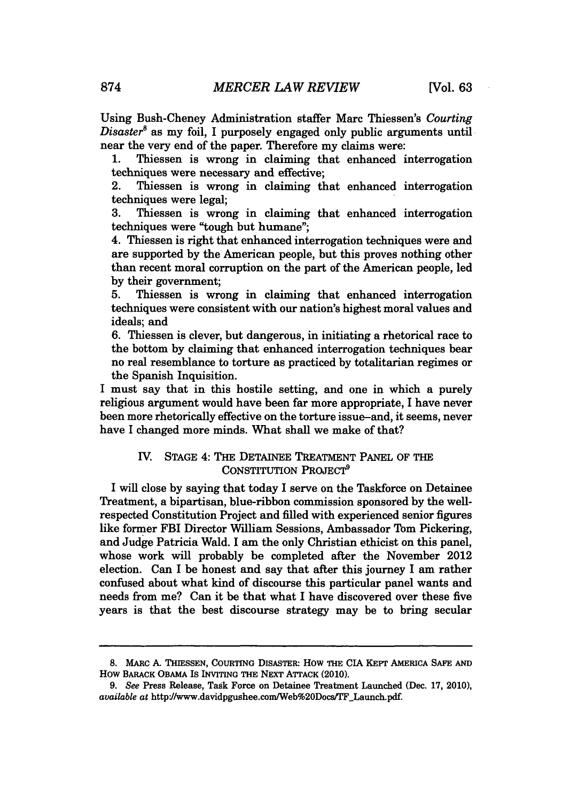Using Bush-Cheney Administration staffer Marc Thiessen's *Courting Disaster*<sup>8</sup> as my foil, I purposely engaged only public arguments until near the very end of the paper. Therefore my claims were:

**1.** Thiessen is wrong in claiming that enhanced interrogation techniques were necessary and effective;

2. Thiessen is wrong in claiming that enhanced interrogation techniques were legal;

**3.** Thiessen is wrong in claiming that enhanced interrogation techniques were "tough but humane";

4. Thiessen is right that enhanced interrogation techniques were and are supported **by** the American people, but this proves nothing other than recent moral corruption on the part of the American people, led **by** their government;

**5.** Thiessen is wrong in claiming that enhanced interrogation techniques were consistent with our nation's highest moral values and ideals; and

**6.** Thiessen is clever, but dangerous, in initiating a rhetorical race to the bottom **by** claiming that enhanced interrogation techniques bear no real resemblance to torture as practiced **by** totalitarian regimes or the Spanish Inquisition.

I must say that in this hostile setting, and one in which a purely religious argument would have been far more appropriate, I have never been more rhetorically effective on the torture issue-and, it seems, never have I changed more minds. What shall we make of that?

#### IV. **STAGE** 4: THE **DETAINEE** TREATMENT **PANEL** OF THE CONSTITUTION PROJECT<sup>9</sup>

I will close **by** saying that today I serve on the Taskforce on Detainee Treatment, a bipartisan, blue-ribbon commission sponsored **by** the wellrespected Constitution Project and filled with experienced senior figures like former FBI Director William Sessions, Ambassador Tom Pickering, and Judge Patricia Wald. **I** am the only Christian ethicist on this panel, whose work will probably be completed after the November 2012 election. Can **I** be honest and say that after this journey I am rather confused about what kind of discourse this particular panel wants and needs from me? Can it be that what I have discovered over these five years is that the best discourse strategy may be to bring secular

**<sup>8.</sup>** MARC **A.** THIESSEN, **COURTING** DISASTER: How THE **CIA** KEPT AMERICA **SAFE AND** How BARACK OBAMA IS INVITING THE NEXT **ATTACK** (2010).

*<sup>9.</sup> See* Press Release, Task Force on Detainee Treatment Launched (Dec. **17,** 2010), *available at http://www.davidpgushee.com/Web%20Docs/TF\_Launch.pdf.*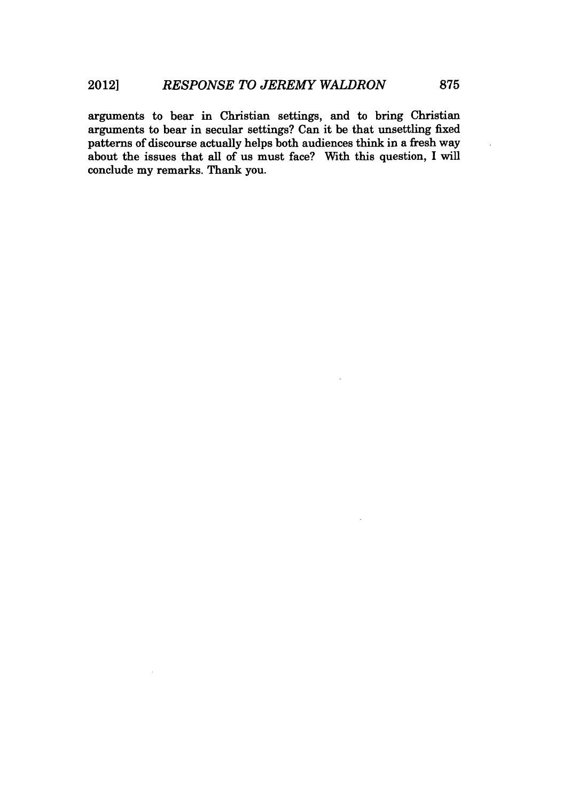arguments to bear in Christian settings, and to bring Christian arguments to bear in secular settings? Can it be that unsettling fixed patterns of discourse actually helps both audiences think in a fresh way about the issues that all of us must face? With this question, **I** will conclude my remarks. Thank you.

 $\ddot{\phantom{a}}$